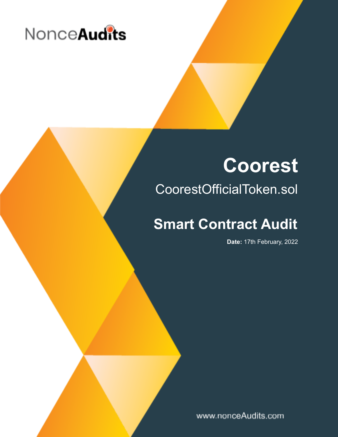

# **Coorest**

## CoorestOfficialToken.sol

## **Smart Contract Audit**

**Date:** 17th February, 2022

www.nonceAudits.com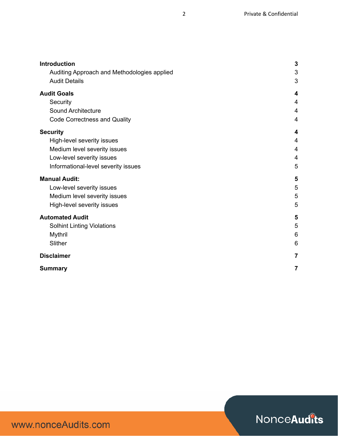| <b>Introduction</b>                         | $\mathbf{3}$   |
|---------------------------------------------|----------------|
| Auditing Approach and Methodologies applied | 3              |
| <b>Audit Details</b>                        | 3              |
| <b>Audit Goals</b>                          | 4              |
| Security                                    | 4              |
| <b>Sound Architecture</b>                   | 4              |
| <b>Code Correctness and Quality</b>         | 4              |
| <b>Security</b>                             | 4              |
| High-level severity issues                  | $\overline{4}$ |
| Medium level severity issues                | $\overline{4}$ |
| Low-level severity issues                   | $\overline{4}$ |
| Informational-level severity issues         | 5              |
| <b>Manual Audit:</b>                        | 5              |
| Low-level severity issues                   | 5              |
| Medium level severity issues                | 5              |
| High-level severity issues                  | 5              |
| <b>Automated Audit</b>                      | 5              |
| <b>Solhint Linting Violations</b>           | 5              |
| Mythril                                     | 6              |
| Slither                                     | 6              |
| <b>Disclaimer</b>                           | $\overline{7}$ |
| <b>Summary</b>                              | $\overline{7}$ |

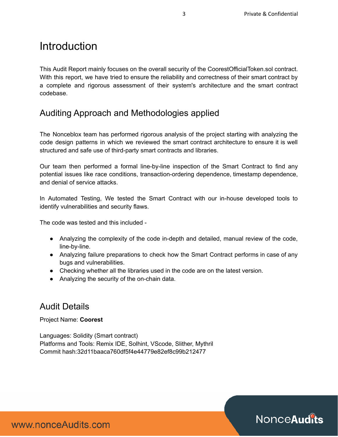### **Introduction**

This Audit Report mainly focuses on the overall security of the CoorestOfficialToken.sol contract. With this report, we have tried to ensure the reliability and correctness of their smart contract by a complete and rigorous assessment of their system's architecture and the smart contract codebase.

#### <span id="page-2-0"></span>Auditing Approach and Methodologies applied

The Nonceblox team has performed rigorous analysis of the project starting with analyzing the code design patterns in which we reviewed the smart contract architecture to ensure it is well structured and safe use of third-party smart contracts and libraries.

Our team then performed a formal line-by-line inspection of the Smart Contract to find any potential issues like race conditions, transaction-ordering dependence, timestamp dependence, and denial of service attacks.

In Automated Testing, We tested the Smart Contract with our in-house developed tools to identify vulnerabilities and security flaws.

The code was tested and this included -

- Analyzing the complexity of the code in-depth and detailed, manual review of the code, line-by-line.
- Analyzing failure preparations to check how the Smart Contract performs in case of any bugs and vulnerabilities.
- Checking whether all the libraries used in the code are on the latest version.
- Analyzing the security of the on-chain data.

#### <span id="page-2-1"></span>Audit Details

Project Name: **Coorest**

Languages: Solidity (Smart contract) Platforms and Tools: Remix IDE, Solhint, VScode, Slither, Mythril Commit hash:32d11baaca760df5f4e44779e82ef8c99b212477

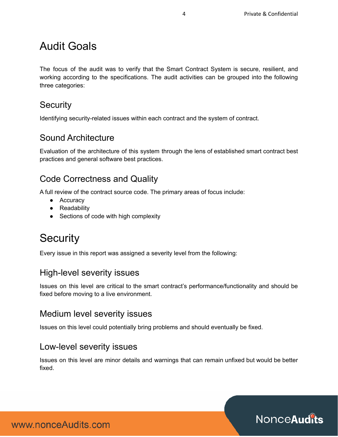## Audit Goals

The focus of the audit was to verify that the Smart Contract System is secure, resilient, and working according to the specifications. The audit activities can be grouped into the following three categories:

#### <span id="page-3-0"></span>**Security**

<span id="page-3-1"></span>Identifying security-related issues within each contract and the system of contract.

#### Sound Architecture

Evaluation of the architecture of this system through the lens of established smart contract best practices and general software best practices.

#### <span id="page-3-2"></span>Code Correctness and Quality

A full review of the contract source code. The primary areas of focus include:

- Accuracy
- Readability
- Sections of code with high complexity

## <span id="page-3-3"></span>**Security**

<span id="page-3-4"></span>Every issue in this report was assigned a severity level from the following:

#### High-level severity issues

Issues on this level are critical to the smart contract's performance/functionality and should be fixed before moving to a live environment.

#### <span id="page-3-5"></span>Medium level severity issues

<span id="page-3-6"></span>Issues on this level could potentially bring problems and should eventually be fixed.

#### Low-level severity issues

Issues on this level are minor details and warnings that can remain unfixed but would be better fixed.



www.nonceAudits.com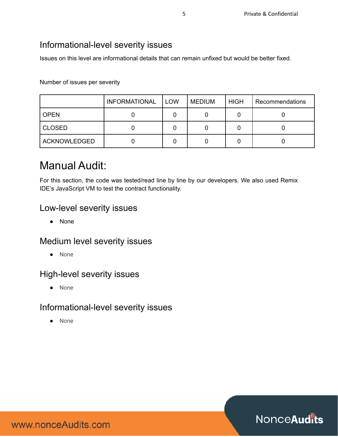#### <span id="page-4-0"></span>Informational-level severity issues

Issues on this level are informational details that can remain unfixed but would be better fixed.

Number of issues per severity

|                     | <b>INFORMATIONAL</b> | <b>LOW</b> | <b>MEDIUM</b> | <b>HIGH</b> | Recommendations |
|---------------------|----------------------|------------|---------------|-------------|-----------------|
| <b>OPEN</b>         |                      |            |               |             |                 |
| <b>CLOSED</b>       |                      |            |               |             |                 |
| <b>ACKNOWLEDGED</b> |                      |            |               |             |                 |

## <span id="page-4-1"></span>Manual Audit:

For this section, the code was tested/read line by line by our developers. We also used Remix IDE's JavaScript VM to test the contract functionality.

#### Low-level severity issues

● None

#### <span id="page-4-2"></span>Medium level severity issues

● None

#### <span id="page-4-3"></span>High-level severity issues

● None

#### Informational-level severity issues

● None

Nonce **Audits** 

www.nonceAudits.com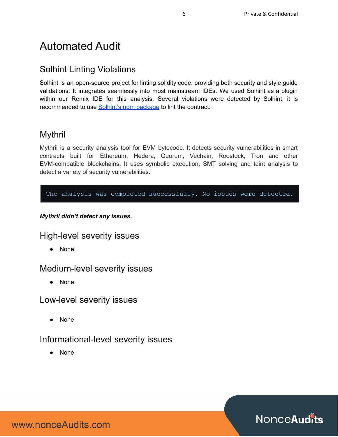## Automated Audit

#### <span id="page-5-0"></span>Solhint Linting Violations

Solhint is an open-source project for linting solidity code, providing both security and style guide validations. It integrates seamlessly into most mainstream IDEs. We used Solhint as a plugin within our Remix IDE for this analysis. Several violations were detected by Solhint, it is recommended to use Solhint's npm [package](https://www.npmjs.com/package/solhint) to lint the contract.

#### <span id="page-5-1"></span>Mythril

Mythril is a security analysis tool for EVM bytecode. It detects security vulnerabilities in smart contracts built for Ethereum, Hedera, Quorum, Vechain, Roostock, Tron and other EVM-compatible blockchains. It uses symbolic execution, SMT solving and taint analysis to detect a variety of security vulnerabilities.

The analysis was completed successfully. No issues were detected.

#### *Mythril didn't detect any issues.*

#### High-level severity issues

● None

#### Medium-level severity issues

● None

#### Low-level severity issues

● None

#### Informational-level severity issues

● None